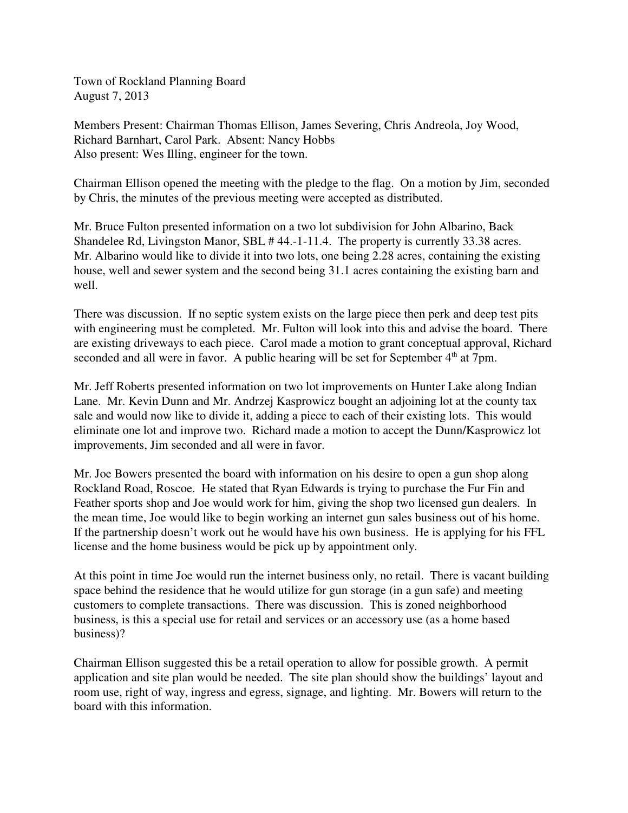Town of Rockland Planning Board August 7, 2013

Members Present: Chairman Thomas Ellison, James Severing, Chris Andreola, Joy Wood, Richard Barnhart, Carol Park. Absent: Nancy Hobbs Also present: Wes Illing, engineer for the town.

Chairman Ellison opened the meeting with the pledge to the flag. On a motion by Jim, seconded by Chris, the minutes of the previous meeting were accepted as distributed.

Mr. Bruce Fulton presented information on a two lot subdivision for John Albarino, Back Shandelee Rd, Livingston Manor, SBL # 44.-1-11.4. The property is currently 33.38 acres. Mr. Albarino would like to divide it into two lots, one being 2.28 acres, containing the existing house, well and sewer system and the second being 31.1 acres containing the existing barn and well.

There was discussion. If no septic system exists on the large piece then perk and deep test pits with engineering must be completed. Mr. Fulton will look into this and advise the board. There are existing driveways to each piece. Carol made a motion to grant conceptual approval, Richard seconded and all were in favor. A public hearing will be set for September  $4<sup>th</sup>$  at 7pm.

Mr. Jeff Roberts presented information on two lot improvements on Hunter Lake along Indian Lane. Mr. Kevin Dunn and Mr. Andrzej Kasprowicz bought an adjoining lot at the county tax sale and would now like to divide it, adding a piece to each of their existing lots. This would eliminate one lot and improve two. Richard made a motion to accept the Dunn/Kasprowicz lot improvements, Jim seconded and all were in favor.

Mr. Joe Bowers presented the board with information on his desire to open a gun shop along Rockland Road, Roscoe. He stated that Ryan Edwards is trying to purchase the Fur Fin and Feather sports shop and Joe would work for him, giving the shop two licensed gun dealers. In the mean time, Joe would like to begin working an internet gun sales business out of his home. If the partnership doesn't work out he would have his own business. He is applying for his FFL license and the home business would be pick up by appointment only.

At this point in time Joe would run the internet business only, no retail. There is vacant building space behind the residence that he would utilize for gun storage (in a gun safe) and meeting customers to complete transactions. There was discussion. This is zoned neighborhood business, is this a special use for retail and services or an accessory use (as a home based business)?

Chairman Ellison suggested this be a retail operation to allow for possible growth. A permit application and site plan would be needed. The site plan should show the buildings' layout and room use, right of way, ingress and egress, signage, and lighting. Mr. Bowers will return to the board with this information.